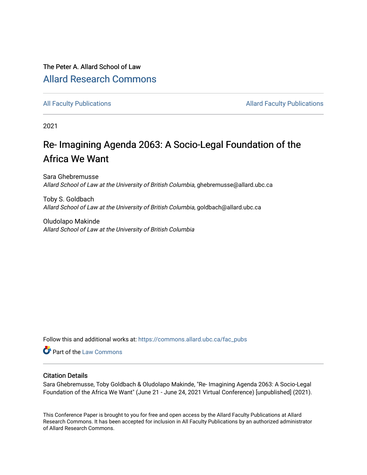# The Peter A. Allard School of Law [Allard Research Commons](https://commons.allard.ubc.ca/)

[All Faculty Publications](https://commons.allard.ubc.ca/fac_pubs) **Allard Faculty Publications** Allard Faculty Publications

2021

# Re- Imagining Agenda 2063: A Socio-Legal Foundation of the Africa We Want

Sara Ghebremusse Allard School of Law at the University of British Columbia, ghebremusse@allard.ubc.ca

Toby S. Goldbach Allard School of Law at the University of British Columbia, goldbach@allard.ubc.ca

Oludolapo Makinde Allard School of Law at the University of British Columbia

Follow this and additional works at: [https://commons.allard.ubc.ca/fac\\_pubs](https://commons.allard.ubc.ca/fac_pubs?utm_source=commons.allard.ubc.ca%2Ffac_pubs%2F685&utm_medium=PDF&utm_campaign=PDFCoverPages)

Part of the [Law Commons](http://network.bepress.com/hgg/discipline/578?utm_source=commons.allard.ubc.ca%2Ffac_pubs%2F685&utm_medium=PDF&utm_campaign=PDFCoverPages)

#### Citation Details

Sara Ghebremusse, Toby Goldbach & Oludolapo Makinde, "Re- Imagining Agenda 2063: A Socio-Legal Foundation of the Africa We Want" (June 21 - June 24, 2021 Virtual Conference) [unpublished] (2021).

This Conference Paper is brought to you for free and open access by the Allard Faculty Publications at Allard Research Commons. It has been accepted for inclusion in All Faculty Publications by an authorized administrator of Allard Research Commons.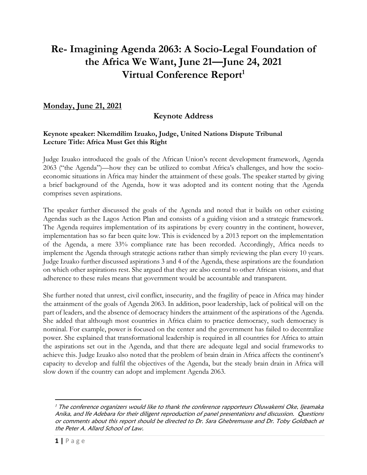# **Re- Imagining Agenda 2063: A Socio-Legal Foundation of the Africa We Want, June 21—June 24, 2021 Virtual Conference Report<sup>1</sup>**

## **Monday, June 21, 2021**

## **Keynote Address**

#### **Keynote speaker: Nkemdilim Izuako, Judge, United Nations Dispute Tribunal Lecture Title: Africa Must Get this Right**

Judge Izuako introduced the goals of the African Union's recent development framework, Agenda 2063 ("the Agenda")—how they can be utilized to combat Africa's challenges, and how the socioeconomic situations in Africa may hinder the attainment of these goals. The speaker started by giving a brief background of the Agenda, how it was adopted and its content noting that the Agenda comprises seven aspirations.

The speaker further discussed the goals of the Agenda and noted that it builds on other existing Agendas such as the Lagos Action Plan and consists of a guiding vision and a strategic framework. The Agenda requires implementation of its aspirations by every country in the continent, however, implementation has so far been quite low. This is evidenced by a 2013 report on the implementation of the Agenda, a mere 33% compliance rate has been recorded. Accordingly, Africa needs to implement the Agenda through strategic actions rather than simply reviewing the plan every 10 years. Judge Izuako further discussed aspirations 3 and 4 of the Agenda, these aspirations are the foundation on which other aspirations rest. She argued that they are also central to other African visions, and that adherence to these rules means that government would be accountable and transparent.

She further noted that unrest, civil conflict, insecurity, and the fragility of peace in Africa may hinder the attainment of the goals of Agenda 2063. In addition, poor leadership, lack of political will on the part of leaders, and the absence of democracy hinders the attainment of the aspirations of the Agenda. She added that although most countries in Africa claim to practice democracy, such democracy is nominal. For example, power is focused on the center and the government has failed to decentralize power. She explained that transformational leadership is required in all countries for Africa to attain the aspirations set out in the Agenda, and that there are adequate legal and social frameworks to achieve this. Judge Izuako also noted that the problem of brain drain in Africa affects the continent's capacity to develop and fulfil the objectives of the Agenda, but the steady brain drain in Africa will slow down if the country can adopt and implement Agenda 2063.

 $\overline{a}$ 

<sup>&</sup>lt;sup>1</sup> The conference organizers would like to thank the conference rapporteurs Oluwakemi Oke, Ijeamaka Anika, and Ife Adebara for their diligent reproduction of panel presentations and discussion. Questions or comments about this report should be directed to Dr. Sara Ghebremusse and Dr. Toby Goldbach at the Peter A. Allard School of Law.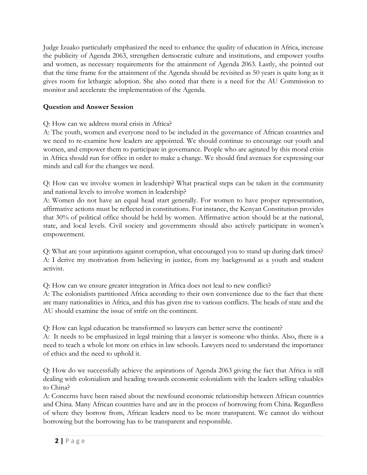Judge Izuako particularly emphasized the need to enhance the quality of education in Africa, increase the publicity of Agenda 2063, strengthen democratic culture and institutions, and empower youths and women, as necessary requirements for the attainment of Agenda 2063. Lastly, she pointed out that the time frame for the attainment of the Agenda should be revisited as 50 years is quite long as it gives room for lethargic adoption. She also noted that there is a need for the AU Commission to monitor and accelerate the implementation of the Agenda.

## **Question and Answer Session**

Q: How can we address moral crisis in Africa?

A: The youth, women and everyone need to be included in the governance of African countries and we need to re-examine how leaders are appointed. We should continue to encourage our youth and women, and empower them to participate in governance. People who are agitated by this moral crisis in Africa should run for office in order to make a change. We should find avenues for expressing our minds and call for the changes we need.

Q: How can we involve women in leadership? What practical steps can be taken in the community and national levels to involve women in leadership?

A: Women do not have an equal head start generally. For women to have proper representation, affirmative actions must be reflected in constitutions. For instance, the Kenyan Constitution provides that 30% of political office should be held by women. Affirmative action should be at the national, state, and local levels. Civil society and governments should also actively participate in women's empowerment.

Q: What are your aspirations against corruption, what encouraged you to stand up during dark times? A: I derive my motivation from believing in justice, from my background as a youth and student activist.

Q: How can we ensure greater integration in Africa does not lead to new conflict?

A: The colonialists partitioned Africa according to their own convenience due to the fact that there are many nationalities in Africa, and this has given rise to various conflicts. The heads of state and the AU should examine the issue of strife on the continent.

Q: How can legal education be transformed so lawyers can better serve the continent?

A: It needs to be emphasized in legal training that a lawyer is someone who thinks. Also, there is a need to teach a whole lot more on ethics in law schools. Lawyers need to understand the importance of ethics and the need to uphold it.

Q: How do we successfully achieve the aspirations of Agenda 2063 giving the fact that Africa is still dealing with colonialism and heading towards economic colonialism with the leaders selling valuables to China?

A: Concerns have been raised about the newfound economic relationship between African countries and China. Many African countries have and are in the process of borrowing from China. Regardless of where they borrow from, African leaders need to be more transparent. We cannot do without borrowing but the borrowing has to be transparent and responsible.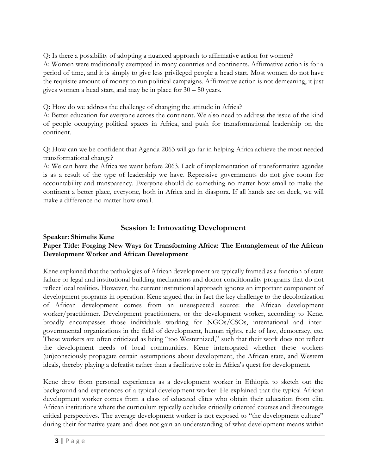Q: Is there a possibility of adopting a nuanced approach to affirmative action for women?

A: Women were traditionally exempted in many countries and continents. Affirmative action is for a period of time, and it is simply to give less privileged people a head start. Most women do not have the requisite amount of money to run political campaigns. Affirmative action is not demeaning, it just gives women a head start, and may be in place for 30 – 50 years.

Q: How do we address the challenge of changing the attitude in Africa?

A: Better education for everyone across the continent. We also need to address the issue of the kind of people occupying political spaces in Africa, and push for transformational leadership on the continent.

Q: How can we be confident that Agenda 2063 will go far in helping Africa achieve the most needed transformational change?

A: We can have the Africa we want before 2063. Lack of implementation of transformative agendas is as a result of the type of leadership we have. Repressive governments do not give room for accountability and transparency. Everyone should do something no matter how small to make the continent a better place, everyone, both in Africa and in diaspora. If all hands are on deck, we will make a difference no matter how small.

# **Session 1: Innovating Development**

#### **Speaker: Shimelis Kene Paper Title: Forging New Ways for Transforming Africa: The Entanglement of the African Development Worker and African Development**

Kene explained that the pathologies of African development are typically framed as a function of state failure or legal and institutional building mechanisms and donor conditionality programs that do not reflect local realities. However, the current institutional approach ignores an important component of development programs in operation. Kene argued that in fact the key challenge to the decolonization of African development comes from an unsuspected source: the African development worker/practitioner. Development practitioners, or the development worker, according to Kene, broadly encompasses those individuals working for NGOs/CSOs, international and intergovernmental organizations in the field of development, human rights, rule of law, democracy, etc. These workers are often criticized as being "too Westernized," such that their work does not reflect the development needs of local communities. Kene interrogated whether these workers (un)consciously propagate certain assumptions about development, the African state, and Western ideals, thereby playing a defeatist rather than a facilitative role in Africa's quest for development.

Kene drew from personal experiences as a development worker in Ethiopia to sketch out the background and experiences of a typical development worker. He explained that the typical African development worker comes from a class of educated elites who obtain their education from elite African institutions where the curriculum typically occludes critically oriented courses and discourages critical perspectives. The average development worker is not exposed to "the development culture" during their formative years and does not gain an understanding of what development means within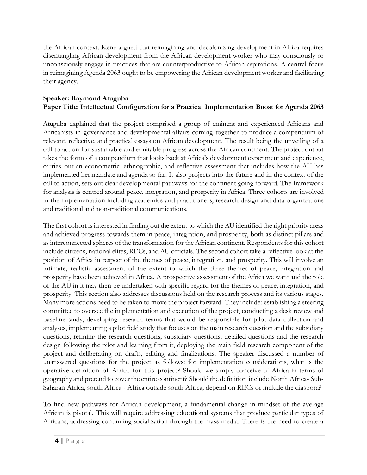the African context. Kene argued that reimagining and decolonizing development in Africa requires disentangling African development from the African development worker who may consciously or unconsciously engage in practices that are counterproductive to African aspirations. A central focus in reimagining Agenda 2063 ought to be empowering the African development worker and facilitating their agency.

#### **Speaker: Raymond Atuguba Paper Title: Intellectual Configuration for a Practical Implementation Boost for Agenda 2063**

Atuguba explained that the project comprised a group of eminent and experienced Africans and Africanists in governance and developmental affairs coming together to produce a compendium of relevant, reflective, and practical essays on African development. The result being the unveiling of a call to action for sustainable and equitable progress across the African continent. The project output takes the form of a compendium that looks back at Africa's development experiment and experience, carries out an econometric, ethnographic, and reflective assessment that includes how the AU has implemented her mandate and agenda so far. It also projects into the future and in the context of the call to action, sets out clear developmental pathways for the continent going forward. The framework for analysis is centred around peace, integration, and prosperity in Africa. Three cohorts are involved in the implementation including academics and practitioners, research design and data organizations and traditional and non-traditional communications.

The first cohort is interested in finding out the extent to which the AU identified the right priority areas and achieved progress towards them in peace, integration, and prosperity, both as distinct pillars and as interconnected spheres of the transformation for the African continent. Respondents for this cohort include citizens, national elites, RECs, and AU officials. The second cohort take a reflective look at the position of Africa in respect of the themes of peace, integration, and prosperity. This will involve an intimate, realistic assessment of the extent to which the three themes of peace, integration and prosperity have been achieved in Africa. A prospective assessment of the Africa we want and the role of the AU in it may then be undertaken with specific regard for the themes of peace, integration, and prosperity. This section also addresses discussions held on the research process and its various stages. Many more actions need to be taken to move the project forward. They include: establishing a steering committee to oversee the implementation and execution of the project, conducting a desk review and baseline study, developing research teams that would be responsible for pilot data collection and analyses, implementing a pilot field study that focuses on the main research question and the subsidiary questions, refining the research questions, subsidiary questions, detailed questions and the research design following the pilot and learning from it, deploying the main field research component of the project and deliberating on drafts, editing and finalizations. The speaker discussed a number of unanswered questions for the project as follows: for implementation considerations, what is the operative definition of Africa for this project? Should we simply conceive of Africa in terms of geography and pretend to cover the entire continent? Should the definition include North Africa- Sub-Saharan Africa, south Africa - Africa outside south Africa, depend on RECs or include the diaspora?

To find new pathways for African development, a fundamental change in mindset of the average African is pivotal. This will require addressing educational systems that produce particular types of Africans, addressing continuing socialization through the mass media. There is the need to create a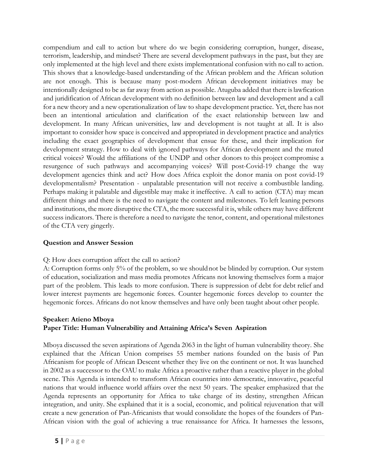compendium and call to action but where do we begin considering corruption, hunger, disease, terrorism, leadership, and mindset? There are several development pathways in the past, but they are only implemented at the high level and there exists implementational confusion with no call to action. This shows that a knowledge-based understanding of the African problem and the African solution are not enough. This is because many post-modern African development initiatives may be intentionally designed to be as far away from action as possible. Atuguba added that there islawfication and juridification of African development with no definition between law and development and a call for a new theory and a new operationalization of law to shape development practice. Yet, there has not been an intentional articulation and clarification of the exact relationship between law and development. In many African universities, law and development is not taught at all. It is also important to consider how space is conceived and appropriated in development practice and analytics including the exact geographies of development that ensue for these, and their implication for development strategy. How to deal with ignored pathways for African development and the muted critical voices? Would the affiliations of the UNDP and other donors to this project compromise a resurgence of such pathways and accompanying voices? Will post-Covid-19 change the way development agencies think and act? How does Africa exploit the donor mania on post covid-19 developmentalism? Presentation - unpalatable presentation will not receive a combustible landing. Perhaps making it palatable and digestible may make it ineffective. A call to action (CTA) may mean different things and there is the need to navigate the content and milestones. To left leaning persons and institutions, the more disruptive the CTA, the more successful it is, while others may have different success indicators. There is therefore a need to navigate the tenor, content, and operational milestones of the CTA very gingerly.

#### **Question and Answer Session**

#### Q: How does corruption affect the call to action?

A: Corruption forms only 5% of the problem, so we shouldnot be blinded by corruption. Our system of education, socialization and mass media promotes Africans not knowing themselves form a major part of the problem. This leads to more confusion. There is suppression of debt for debt relief and lower interest payments are hegemonic forces. Counter hegemonic forces develop to counter the hegemonic forces. Africans do not know themselves and have only been taught about other people.

#### **Speaker: Atieno Mboya Paper Title: Human Vulnerability and Attaining Africa's Seven Aspiration**

Mboya discussed the seven aspirations of Agenda 2063 in the light of human vulnerability theory. She explained that the African Union comprises 55 member nations founded on the basis of Pan Africanism for people of African Descent whether they live on the continent or not. It was launched in 2002 as a successor to the OAU to make Africa a proactive rather than a reactive player in the global scene. This Agenda is intended to transform African countries into democratic, innovative, peaceful nations that would influence world affairs over the next 50 years. The speaker emphasized that the Agenda represents an opportunity for Africa to take charge of its destiny, strengthen African integration, and unity. She explained that it is a social, economic, and political rejuvenation that will create a new generation of Pan-Africanists that would consolidate the hopes of the founders of Pan-African vision with the goal of achieving a true renaissance for Africa. It harnesses the lessons,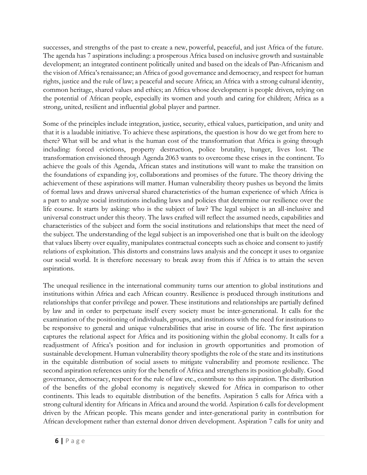successes, and strengths of the past to create a new, powerful, peaceful, and just Africa of the future. The agenda has 7 aspirations including: a prosperous Africa based on inclusive growth and sustainable development; an integrated continent politically united and based on the ideals of Pan-Africanism and the vision of Africa's renaissance; an Africa of good governance and democracy, and respect for human rights, justice and the rule of law; a peaceful and secure Africa; an Africa with a strong cultural identity, common heritage, shared values and ethics; an Africa whose development is people driven, relying on the potential of African people, especially its women and youth and caring for children; Africa as a strong, united, resilient and influential global player and partner.

Some of the principles include integration, justice, security, ethical values, participation, and unity and that it is a laudable initiative. To achieve these aspirations, the question is how do we get from here to there? What will be and what is the human cost of the transformation that Africa is going through including: forced evictions, property destruction, police brutality, hunger, lives lost. The transformation envisioned through Agenda 2063 wants to overcome these crises in the continent. To achieve the goals of this Agenda, African states and institutions will want to make the transition on the foundations of expanding joy, collaborations and promises of the future. The theory driving the achievement of these aspirations will matter. Human vulnerability theory pushes us beyond the limits of formal laws and draws universal shared characteristics of the human experience of which Africa is a part to analyze social institutions including laws and policies that determine our resilience over the life course. It starts by asking: who is the subject of law? The legal subject is an all-inclusive and universal construct under this theory. The laws crafted will reflect the assumed needs, capabilities and characteristics of the subject and form the social institutions and relationships that meet the need of the subject. The understanding of the legal subject is an impoverished one that is built on the ideology that values liberty over equality, manipulates contractual concepts such as choice and consent to justify relations of exploitation. This distorts and constrains laws analysis and the concept it uses to organize our social world. It is therefore necessary to break away from this if Africa is to attain the seven aspirations.

The unequal resilience in the international community turns our attention to global institutions and institutions within Africa and each African country. Resilience is produced through institutions and relationships that confer privilege and power. These institutions and relationships are partially defined by law and in order to perpetuate itself every society must be inter-generational. It calls for the examination of the positioning of individuals, groups, and institutions with the need for institutions to be responsive to general and unique vulnerabilities that arise in course of life. The first aspiration captures the relational aspect for Africa and its positioning within the global economy. It calls for a readjustment of Africa's position and for inclusion in growth opportunities and promotion of sustainable development. Human vulnerability theory spotlights the role of the state and its institutions in the equitable distribution of social assets to mitigate vulnerability and promote resilience. The second aspiration references unity for the benefit of Africa and strengthens its position globally. Good governance, democracy, respect for the rule of law etc., contribute to this aspiration. The distribution of the benefits of the global economy is negatively skewed for Africa in comparison to other continents. This leads to equitable distribution of the benefits. Aspiration 5 calls for Africa with a strong cultural identity for Africans in Africa and around the world. Aspiration 6 calls for development driven by the African people. This means gender and inter-generational parity in contribution for African development rather than external donor driven development. Aspiration 7 calls for unity and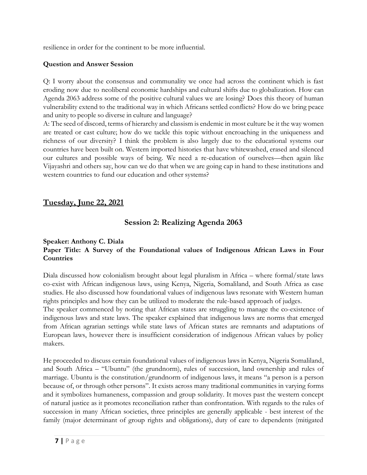resilience in order for the continent to be more influential.

#### **Question and Answer Session**

Q: I worry about the consensus and communality we once had across the continent which is fast eroding now due to neoliberal economic hardships and cultural shifts due to globalization. How can Agenda 2063 address some of the positive cultural values we are losing? Does this theory of human vulnerability extend to the traditional way in which Africans settled conflicts? How do we bring peace and unity to people so diverse in culture and language?

A: The seed of discord, terms of hierarchy and classism is endemic in most culture be it the way women are treated or cast culture; how do we tackle this topic without encroaching in the uniqueness and richness of our diversity? I think the problem is also largely due to the educational systems our countries have been built on. Western imported histories that have whitewashed, erased and silenced our cultures and possible ways of being. We need a re-education of ourselves—then again like Vijayashri and others say, how can we do that when we are going cap in hand to these institutions and western countries to fund our education and other systems?

# **Tuesday, June 22, 2021**

# **Session 2: Realizing Agenda 2063**

#### **Speaker: Anthony C. Diala Paper Title: A Survey of the Foundational values of Indigenous African Laws in Four Countries**

Diala discussed how colonialism brought about legal pluralism in Africa – where formal/state laws co-exist with African indigenous laws, using Kenya, Nigeria, Somaliland, and South Africa as case studies. He also discussed how foundational values of indigenous laws resonate with Western human rights principles and how they can be utilized to moderate the rule-based approach of judges.

The speaker commenced by noting that African states are struggling to manage the co-existence of indigenous laws and state laws. The speaker explained that indigenous laws are norms that emerged from African agrarian settings while state laws of African states are remnants and adaptations of European laws, however there is insufficient consideration of indigenous African values by policy makers.

He proceeded to discuss certain foundational values of indigenous laws in Kenya, Nigeria Somaliland, and South Africa – "Ubuntu" (the grundnorm), rules of succession, land ownership and rules of marriage. Ubuntu is the constitution/grundnorm of indigenous laws, it means "a person is a person because of, or through other persons". It exists across many traditional communities in varying forms and it symbolizes humaneness, compassion and group solidarity. It moves past the western concept of natural justice as it promotes reconciliation rather than confrontation. With regards to the rules of succession in many African societies, three principles are generally applicable - best interest of the family (major determinant of group rights and obligations), duty of care to dependents (mitigated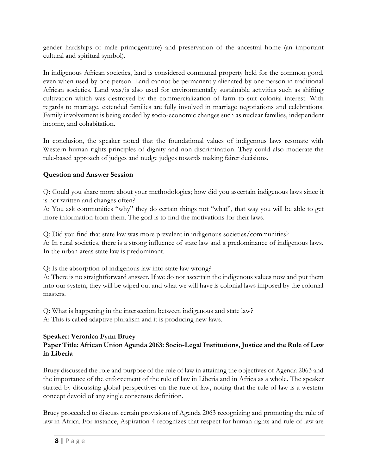gender hardships of male primogeniture) and preservation of the ancestral home (an important cultural and spiritual symbol).

In indigenous African societies, land is considered communal property held for the common good, even when used by one person. Land cannot be permanently alienated by one person in traditional African societies. Land was/is also used for environmentally sustainable activities such as shifting cultivation which was destroyed by the commercialization of farm to suit colonial interest. With regards to marriage, extended families are fully involved in marriage negotiations and celebrations. Family involvement is being eroded by socio-economic changes such as nuclear families, independent income, and cohabitation.

In conclusion, the speaker noted that the foundational values of indigenous laws resonate with Western human rights principles of dignity and non-discrimination. They could also moderate the rule-based approach of judges and nudge judges towards making fairer decisions.

## **Question and Answer Session**

Q: Could you share more about your methodologies; how did you ascertain indigenous laws since it is not written and changes often?

A: You ask communities "why" they do certain things not "what", that way you will be able to get more information from them. The goal is to find the motivations for their laws.

Q: Did you find that state law was more prevalent in indigenous societies/communities?

A: In rural societies, there is a strong influence of state law and a predominance of indigenous laws. In the urban areas state law is predominant.

Q: Is the absorption of indigenous law into state law wrong?

A: There is no straightforward answer. If we do not ascertain the indigenous values now and put them into our system, they will be wiped out and what we will have is colonial laws imposed by the colonial masters.

Q: What is happening in the intersection between indigenous and state law? A: This is called adaptive pluralism and it is producing new laws.

#### **Speaker: Veronica Fynn Bruey Paper Title: African Union Agenda 2063: Socio-Legal Institutions, Justice and the Rule of Law in Liberia**

Bruey discussed the role and purpose of the rule of law in attaining the objectives of Agenda 2063 and the importance of the enforcement of the rule of law in Liberia and in Africa as a whole. The speaker started by discussing global perspectives on the rule of law, noting that the rule of law is a western concept devoid of any single consensus definition.

Bruey proceeded to discuss certain provisions of Agenda 2063 recognizing and promoting the rule of law in Africa. For instance, Aspiration 4 recognizes that respect for human rights and rule of law are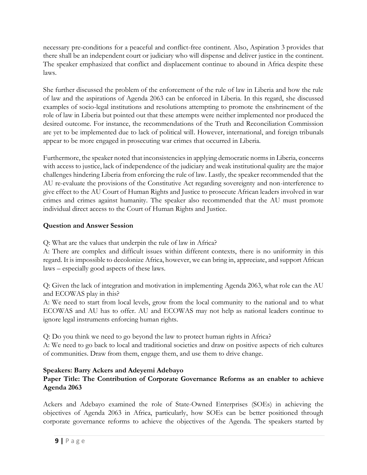necessary pre-conditions for a peaceful and conflict-free continent. Also, Aspiration 3 provides that there shall be an independent court or judiciary who will dispense and deliver justice in the continent. The speaker emphasized that conflict and displacement continue to abound in Africa despite these laws.

She further discussed the problem of the enforcement of the rule of law in Liberia and how the rule of law and the aspirations of Agenda 2063 can be enforced in Liberia. In this regard, she discussed examples of socio-legal institutions and resolutions attempting to promote the enshrinement of the role of law in Liberia but pointed out that these attempts were neither implemented nor produced the desired outcome. For instance, the recommendations of the Truth and Reconciliation Commission are yet to be implemented due to lack of political will. However, international, and foreign tribunals appear to be more engaged in prosecuting war crimes that occurred in Liberia.

Furthermore, the speaker noted that inconsistencies in applying democratic norms in Liberia, concerns with access to justice, lack of independence of the judiciary and weak institutional quality are the major challenges hindering Liberia from enforcing the rule of law. Lastly, the speaker recommended that the AU re-evaluate the provisions of the Constitutive Act regarding sovereignty and non-interference to give effect to the AU Court of Human Rights and Justice to prosecute African leaders involved in war crimes and crimes against humanity. The speaker also recommended that the AU must promote individual direct access to the Court of Human Rights and Justice.

## **Question and Answer Session**

Q: What are the values that underpin the rule of law in Africa?

A: There are complex and difficult issues within different contexts, there is no uniformity in this regard. It is impossible to decolonize Africa, however, we can bring in, appreciate, and support African laws – especially good aspects of these laws.

Q: Given the lack of integration and motivation in implementing Agenda 2063, what role can the AU and ECOWAS play in this?

A: We need to start from local levels, grow from the local community to the national and to what ECOWAS and AU has to offer. AU and ECOWAS may not help as national leaders continue to ignore legal instruments enforcing human rights.

Q: Do you think we need to go beyond the law to protect human rights in Africa?

A: We need to go back to local and traditional societies and draw on positive aspects of rich cultures of communities. Draw from them, engage them, and use them to drive change.

## **Speakers: Barry Ackers and Adeyemi Adebayo**

## **Paper Title: The Contribution of Corporate Governance Reforms as an enabler to achieve Agenda 2063**

Ackers and Adebayo examined the role of State-Owned Enterprises (SOEs) in achieving the objectives of Agenda 2063 in Africa, particularly, how SOEs can be better positioned through corporate governance reforms to achieve the objectives of the Agenda. The speakers started by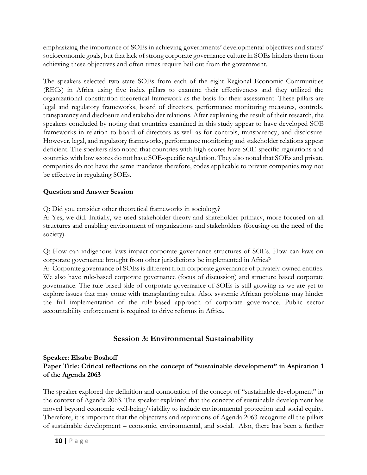emphasizing the importance of SOEs in achieving governments' developmental objectives and states' socioeconomic goals, but that lack of strong corporate governance culture in SOEs hinders them from achieving these objectives and often times require bail out from the government.

The speakers selected two state SOEs from each of the eight Regional Economic Communities (RECs) in Africa using five index pillars to examine their effectiveness and they utilized the organizational constitution theoretical framework as the basis for their assessment. These pillars are legal and regulatory frameworks, board of directors, performance monitoring measures, controls, transparency and disclosure and stakeholder relations. After explaining the result of their research, the speakers concluded by noting that countries examined in this study appear to have developed SOE frameworks in relation to board of directors as well as for controls, transparency, and disclosure. However, legal, and regulatory frameworks, performance monitoring and stakeholder relations appear deficient. The speakers also noted that countries with high scores have SOE-specific regulations and countries with low scores do not have SOE-specific regulation. They also noted that SOEs and private companies do not have the same mandates therefore, codes applicable to private companies may not be effective in regulating SOEs.

## **Question and Answer Session**

Q: Did you consider other theoretical frameworks in sociology?

A: Yes, we did. Initially, we used stakeholder theory and shareholder primacy, more focused on all structures and enabling environment of organizations and stakeholders (focusing on the need of the society).

Q: How can indigenous laws impact corporate governance structures of SOEs. How can laws on corporate governance brought from other jurisdictions be implemented in Africa?

A: Corporate governance of SOEs is different from corporate governance of privately-owned entities. We also have rule-based corporate governance (focus of discussion) and structure based corporate governance. The rule-based side of corporate governance of SOEs is still growing as we are yet to explore issues that may come with transplanting rules. Also, systemic African problems may hinder the full implementation of the rule-based approach of corporate governance. Public sector accountability enforcement is required to drive reforms in Africa.

# **Session 3: Environmental Sustainability**

#### **Speaker: Elsabe Boshoff Paper Title: Critical reflections on the concept of "sustainable development" in Aspiration 1 of the Agenda 2063**

The speaker explored the definition and connotation of the concept of "sustainable development" in the context of Agenda 2063. The speaker explained that the concept of sustainable development has moved beyond economic well-being/viability to include environmental protection and social equity. Therefore, it is important that the objectives and aspirations of Agenda 2063 recognize all the pillars of sustainable development – economic, environmental, and social. Also, there has been a further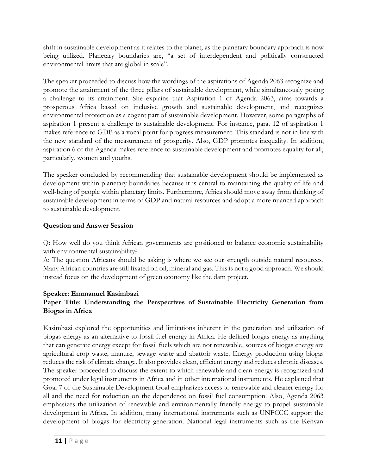shift in sustainable development as it relates to the planet, as the planetary boundary approach is now being utilized. Planetary boundaries are, "a set of interdependent and politically constructed environmental limits that are global in scale".

The speaker proceeded to discuss how the wordings of the aspirations of Agenda 2063 recognize and promote the attainment of the three pillars of sustainable development, while simultaneously posing a challenge to its attainment. She explains that Aspiration 1 of Agenda 2063, aims towards a prosperous Africa based on inclusive growth and sustainable development, and recognizes environmental protection as a cogent part of sustainable development. However, some paragraphs of aspiration 1 present a challenge to sustainable development. For instance, para. 12 of aspiration 1 makes reference to GDP as a vocal point for progress measurement. This standard is not in line with the new standard of the measurement of prosperity. Also, GDP promotes inequality. In addition, aspiration 6 of the Agenda makes reference to sustainable development and promotes equality for all, particularly, women and youths.

The speaker concluded by recommending that sustainable development should be implemented as development within planetary boundaries because it is central to maintaining the quality of life and well-being of people within planetary limits. Furthermore, Africa should move away from thinking of sustainable development in terms of GDP and natural resources and adopt a more nuanced approach to sustainable development.

## **Question and Answer Session**

Q: How well do you think African governments are positioned to balance economic sustainability with environmental sustainability?

A: The question Africans should be asking is where we see our strength outside natural resources. Many African countries are still fixated on oil, mineral and gas. This is not a good approach. We should instead focus on the development of green economy like the dam project.

## **Speaker: Emmanuel Kasimbazi**

## **Paper Title: Understanding the Perspectives of Sustainable Electricity Generation from Biogas in Africa**

Kasimbazi explored the opportunities and limitations inherent in the generation and utilization of biogas energy as an alternative to fossil fuel energy in Africa. He defined biogas energy as anything that can generate energy except for fossil fuels which are not renewable, sources of biogas energy are agricultural crop waste, manure, sewage waste and abattoir waste. Energy production using biogas reduces the risk of climate change. It also provides clean, efficient energy and reduces chronic diseases. The speaker proceeded to discuss the extent to which renewable and clean energy is recognized and promoted under legal instruments in Africa and in other international instruments. He explained that Goal 7 of the Sustainable Development Goal emphasizes access to renewable and cleaner energy for all and the need for reduction on the dependence on fossil fuel consumption. Also, Agenda 2063 emphasizes the utilization of renewable and environmentally friendly energy to propel sustainable development in Africa. In addition, many international instruments such as UNFCCC support the development of biogas for electricity generation. National legal instruments such as the Kenyan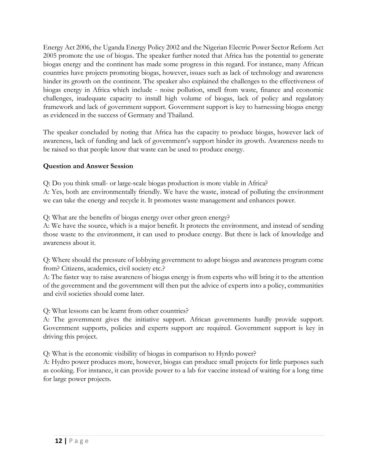Energy Act 2006, the Uganda Energy Policy 2002 and the Nigerian Electric Power Sector Reform Act 2005 promote the use of biogas. The speaker further noted that Africa has the potential to generate biogas energy and the continent has made some progress in this regard. For instance, many African countries have projects promoting biogas, however, issues such as lack of technology and awareness hinder its growth on the continent. The speaker also explained the challenges to the effectiveness of biogas energy in Africa which include - noise pollution, smell from waste, finance and economic challenges, inadequate capacity to install high volume of biogas, lack of policy and regulatory framework and lack of government support. Government support is key to harnessing biogas energy as evidenced in the success of Germany and Thailand.

The speaker concluded by noting that Africa has the capacity to produce biogas, however lack of awareness, lack of funding and lack of government's support hinder its growth. Awareness needs to be raised so that people know that waste can be used to produce energy.

## **Question and Answer Session**

Q: Do you think small- or large-scale biogas production is more viable in Africa? A: Yes, both are environmentally friendly. We have the waste, instead of polluting the environment we can take the energy and recycle it. It promotes waste management and enhances power.

Q: What are the benefits of biogas energy over other green energy?

A: We have the source, which is a major benefit. It protects the environment, and instead of sending those waste to the environment, it can used to produce energy. But there is lack of knowledge and awareness about it.

Q: Where should the pressure of lobbying government to adopt biogas and awareness program come from? Citizens, academics, civil society etc.?

A: The faster way to raise awareness of biogas energy is from experts who will bring it to the attention of the government and the government will then put the advice of experts into a policy, communities and civil societies should come later.

Q: What lessons can be learnt from other countries?

A: The government gives the initiative support. African governments hardly provide support. Government supports, policies and experts support are required. Government support is key in driving this project.

Q: What is the economic visibility of biogas in comparison to Hyrdo power?

A: Hydro power produces more, however, biogas can produce small projects for little purposes such as cooking. For instance, it can provide power to a lab for vaccine instead of waiting for a long time for large power projects.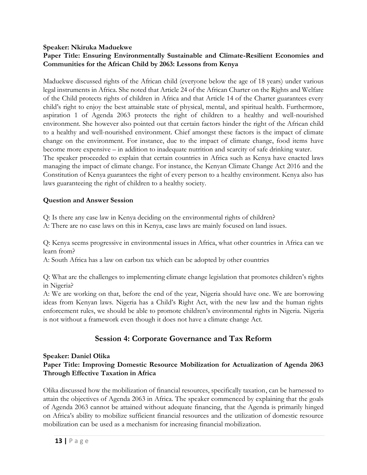#### **Speaker: Nkiruka Maduekwe**

## **Paper Title: Ensuring Environmentally Sustainable and Climate-Resilient Economies and Communities for the African Child by 2063: Lessons from Kenya**

Maduekwe discussed rights of the African child (everyone below the age of 18 years) under various legal instruments in Africa. She noted that Article 24 of the African Charter on the Rights and Welfare of the Child protects rights of children in Africa and that Article 14 of the Charter guarantees every child's right to enjoy the best attainable state of physical, mental, and spiritual health. Furthermore, aspiration 1 of Agenda 2063 protects the right of children to a healthy and well-nourished environment. She however also pointed out that certain factors hinder the right of the African child to a healthy and well-nourished environment. Chief amongst these factors is the impact of climate change on the environment. For instance, due to the impact of climate change, food items have become more expensive – in addition to inadequate nutrition and scarcity of safe drinking water. The speaker proceeded to explain that certain countries in Africa such as Kenya have enacted laws managing the impact of climate change. For instance, the Kenyan Climate Change Act 2016 and the Constitution of Kenya guarantees the right of every person to a healthy environment. Kenya also has laws guaranteeing the right of children to a healthy society.

#### **Question and Answer Session**

Q: Is there any case law in Kenya deciding on the environmental rights of children?

A: There are no case laws on this in Kenya, case laws are mainly focused on land issues.

Q: Kenya seems progressive in environmental issues in Africa, what other countries in Africa can we learn from?

A: South Africa has a law on carbon tax which can be adopted by other countries

Q: What are the challenges to implementing climate change legislation that promotes children's rights in Nigeria?

A: We are working on that, before the end of the year, Nigeria should have one. We are borrowing ideas from Kenyan laws. Nigeria has a Child's Right Act, with the new law and the human rights enforcement rules, we should be able to promote children's environmental rights in Nigeria. Nigeria is not without a framework even though it does not have a climate change Act.

# **Session 4: Corporate Governance and Tax Reform**

## **Speaker: Daniel Olika**

## **Paper Title: Improving Domestic Resource Mobilization for Actualization of Agenda 2063 Through Effective Taxation in Africa**

Olika discussed how the mobilization of financial resources, specifically taxation, can be harnessed to attain the objectives of Agenda 2063 in Africa. The speaker commenced by explaining that the goals of Agenda 2063 cannot be attained without adequate financing, that the Agenda is primarily hinged on Africa's ability to mobilize sufficient financial resources and the utilization of domestic resource mobilization can be used as a mechanism for increasing financial mobilization.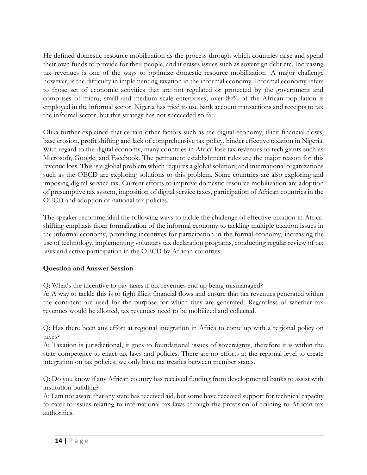He defined domestic resource mobilization as the process through which countries raise and spend their own funds to provide for their people, and it erases issues such as sovereign debt etc. Increasing tax revenues is one of the ways to optimize domestic resource mobilization. A major challenge however, is the difficulty in implementing taxation in the informal economy. Informal economy refers to those set of economic activities that are not regulated or protected by the government and comprises of micro, small and medium scale enterprises, over 80% of the African population is employed in the informal sector. Nigeria has tried to use bank account transactions and receipts to tax the informal sector, but this strategy has not succeeded so far.

Olika further explained that certain other factors such as the digital economy, illicit financial flows, base erosion, profit shifting and lack of comprehensive tax policy, hinder effective taxation in Nigeria. With regard to the digital economy, many countries in Africa lose tax revenues to tech giants such as Microsoft, Google, and Facebook. The permanent establishment rules are the major reason for this revenue loss. This is a global problem which requires a global solution, and international organizations such as the OECD are exploring solutions to this problem. Some countries are also exploring and imposing digital service tax. Current efforts to improve domestic resource mobilization are adoption of presumptive tax system, imposition of digital service taxes, participation of African countries in the OECD and adoption of national tax policies.

The speaker recommended the following ways to tackle the challenge of effective taxation in Africa: shifting emphasis from formalization of the informal economy to tackling multiple taxation issues in the informal economy, providing incentives for participation in the formal economy, increasing the use of technology, implementing voluntary tax declaration programs, conducting regular review of tax laws and active participation in the OECD by African countries.

## **Question and Answer Session**

Q: What's the incentive to pay taxes if tax revenues end up being mismanaged?

A: A way to tackle this is to fight illicit financial flows and ensure that tax revenues generated within the continent are used for the purpose for which they are generated. Regardless of whether tax revenues would be allotted, tax revenues need to be mobilized and collected.

Q: Has there been any effort at regional integration in Africa to come up with a regional policy on taxes?

A: Taxation is jurisdictional, it goes to foundational issues of sovereignty, therefore it is within the state competence to enact tax laws and policies. There are no efforts at the regional level to create integration on tax policies, we only have tax treaties between member states.

Q: Do you know if any African country has received funding from developmental banks to assist with institution building?

A: I am not aware that any state has received aid, but some have received support for technical capacity to cater to issues relating to international tax laws through the provision of training to African tax authorities.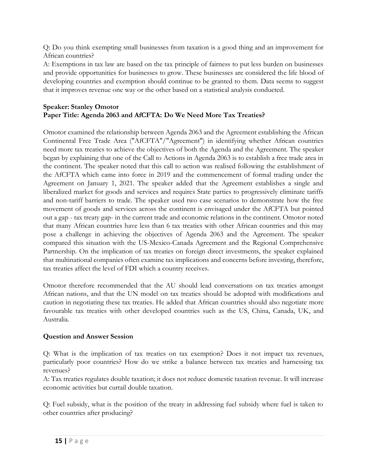Q: Do you think exempting small businesses from taxation is a good thing and an improvement for African countries?

A: Exemptions in tax law are based on the tax principle of fairness to put less burden on businesses and provide opportunities for businesses to grow. These businesses are considered the life blood of developing countries and exemption should continue to be granted to them. Data seems to suggest that it improves revenue one way or the other based on a statistical analysis conducted.

#### **Speaker: Stanley Omotor Paper Title: Agenda 2063 and AfCFTA: Do We Need More Tax Treaties?**

Omotor examined the relationship between Agenda 2063 and the Agreement establishing the African Continental Free Trade Area ("AfCFTA"/"Agreement") in identifying whether African countries need more tax treaties to achieve the objectives of both the Agenda and the Agreement. The speaker began by explaining that one of the Call to Actions in Agenda 2063 is to establish a free trade area in the continent. The speaker noted that this call to action was realised following the establishment of the AfCFTA which came into force in 2019 and the commencement of formal trading under the Agreement on January 1, 2021. The speaker added that the Agreement establishes a single and liberalized market for goods and services and requires State parties to progressively eliminate tariffs and non-tariff barriers to trade. The speaker used two case scenarios to demonstrate how the free movement of goods and services across the continent is envisaged under the AfCFTA but pointed out a gap - tax treaty gap- in the current trade and economic relations in the continent. Omotor noted that many African countries have less than 6 tax treaties with other African countries and this may pose a challenge in achieving the objectives of Agenda 2063 and the Agreement. The speaker compared this situation with the US-Mexico-Canada Agreement and the Regional Comprehensive Partnership. On the implication of tax treaties on foreign direct investments, the speaker explained that multinational companies often examine tax implications and concerns before investing, therefore, tax treaties affect the level of FDI which a country receives.

Omotor therefore recommended that the AU should lead conversations on tax treaties amongst African nations, and that the UN model on tax treaties should be adopted with modifications and caution in negotiating these tax treaties. He added that African countries should also negotiate more favourable tax treaties with other developed countries such as the US, China, Canada, UK, and Australia.

## **Question and Answer Session**

Q: What is the implication of tax treaties on tax exemption? Does it not impact tax revenues, particularly poor countries? How do we strike a balance between tax treaties and harnessing tax revenues?

A: Tax treaties regulates double taxation; it does not reduce domestic taxation revenue. It will increase economic activities but curtail double taxation.

Q: Fuel subsidy, what is the position of the treaty in addressing fuel subsidy where fuel is taken to other countries after producing?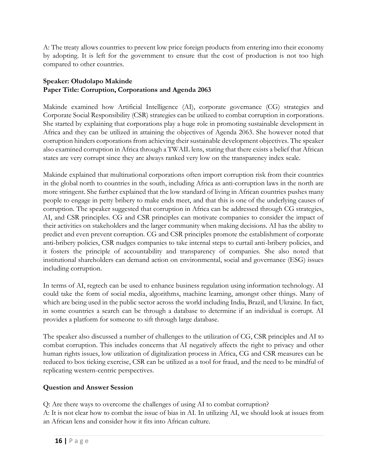A: The treaty allows countries to prevent low price foreign products from entering into their economy by adopting. It is left for the government to ensure that the cost of production is not too high compared to other countries.

## **Speaker: Oludolapo Makinde Paper Title: Corruption, Corporations and Agenda 2063**

Makinde examined how Artificial Intelligence (AI), corporate governance (CG) strategies and Corporate Social Responsibility (CSR) strategies can be utilized to combat corruption in corporations. She started by explaining that corporations play a huge role in promoting sustainable development in Africa and they can be utilized in attaining the objectives of Agenda 2063. She however noted that corruption hinders corporations from achieving their sustainable development objectives. The speaker also examined corruption in Africa through a TWAIL lens, stating that there exists a belief that African states are very corrupt since they are always ranked very low on the transparency index scale.

Makinde explained that multinational corporations often import corruption risk from their countries in the global north to countries in the south, including Africa as anti-corruption laws in the north are more stringent. She further explained that the low standard of living in African countries pushes many people to engage in petty bribery to make ends meet, and that this is one of the underlying causes of corruption. The speaker suggested that corruption in Africa can be addressed through CG strategies, AI, and CSR principles. CG and CSR principles can motivate companies to consider the impact of their activities on stakeholders and the larger community when making decisions. AI has the ability to predict and even prevent corruption. CG and CSR principles promote the establishment of corporate anti-bribery policies, CSR nudges companies to take internal steps to curtail anti-bribery policies, and it fosters the principle of accountability and transparency of companies. She also noted that institutional shareholders can demand action on environmental, social and governance (ESG) issues including corruption.

In terms of AI, regtech can be used to enhance business regulation using information technology. AI could take the form of social media, algorithms, machine learning, amongst other things. Many of which are being used in the public sector across the world including India, Brazil, and Ukraine. In fact, in some countries a search can be through a database to determine if an individual is corrupt. AI provides a platform for someone to sift through large database.

The speaker also discussed a number of challenges to the utilization of CG, CSR principles and AI to combat corruption. This includes concerns that AI negatively affects the right to privacy and other human rights issues, low utilization of digitalization process in Africa, CG and CSR measures can be reduced to box ticking exercise, CSR can be utilized as a tool for fraud, and the need to be mindful of replicating western-centric perspectives.

# **Question and Answer Session**

Q: Are there ways to overcome the challenges of using AI to combat corruption? A: It is not clear how to combat the issue of bias in AI. In utilizing AI, we should look at issues from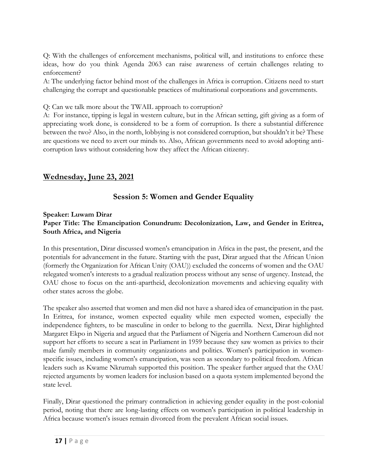Q: With the challenges of enforcement mechanisms, political will, and institutions to enforce these ideas, how do you think Agenda 2063 can raise awareness of certain challenges relating to enforcement?

A: The underlying factor behind most of the challenges in Africa is corruption. Citizens need to start challenging the corrupt and questionable practices of multinational corporations and governments.

Q: Can we talk more about the TWAIL approach to corruption?

A: For instance, tipping is legal in western culture, but in the African setting, gift giving as a form of appreciating work done, is considered to be a form of corruption. Is there a substantial difference between the two? Also, in the north, lobbying is not considered corruption, but shouldn't it be? These are questions we need to avert our minds to. Also, African governments need to avoid adopting anticorruption laws without considering how they affect the African citizenry.

# **Wednesday, June 23, 2021**

# **Session 5: Women and Gender Equality**

#### **Speaker: Luwam Dirar Paper Title: The Emancipation Conundrum: Decolonization, Law, and Gender in Eritrea, South Africa, and Nigeria**

In this presentation, Dirar discussed women's emancipation in Africa in the past, the present, and the potentials for advancement in the future. Starting with the past, Dirar argued that the African Union (formerly the Organization for African Unity (OAU)) excluded the concerns of women and the OAU relegated women's interests to a gradual realization process without any sense of urgency. Instead, the OAU chose to focus on the anti-apartheid, decolonization movements and achieving equality with other states across the globe.

The speaker also asserted that women and men did not have a shared idea of emancipation in the past. In Eritrea, for instance, women expected equality while men expected women, especially the independence fighters, to be masculine in order to belong to the guerrilla. Next, Dirar highlighted Margaret Ekpo in Nigeria and argued that the Parliament of Nigeria and Northern Cameroun did not support her efforts to secure a seat in Parliament in 1959 because they saw women as privies to their male family members in community organizations and politics. Women's participation in womenspecific issues, including women's emancipation, was seen as secondary to political freedom. African leaders such as Kwame Nkrumah supported this position. The speaker further argued that the OAU rejected arguments by women leaders for inclusion based on a quota system implemented beyond the state level.

Finally, Dirar questioned the primary contradiction in achieving gender equality in the post-colonial period, noting that there are long-lasting effects on women's participation in political leadership in Africa because women's issues remain divorced from the prevalent African social issues.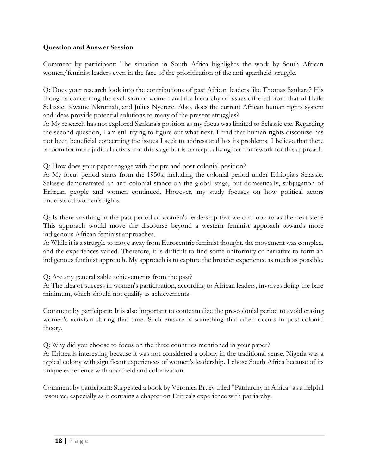#### **Question and Answer Session**

Comment by participant: The situation in South Africa highlights the work by South African women/feminist leaders even in the face of the prioritization of the anti-apartheid struggle.

Q: Does your research look into the contributions of past African leaders like Thomas Sankara? His thoughts concerning the exclusion of women and the hierarchy of issues differed from that of Haile Selassie, Kwame Nkrumah, and Julius Nyerere. Also, does the current African human rights system and ideas provide potential solutions to many of the present struggles?

A: My research has not explored Sankara's position as my focus was limited to Selassie etc. Regarding the second question, I am still trying to figure out what next. I find that human rights discourse has not been beneficial concerning the issues I seek to address and has its problems. I believe that there is room for more judicial activism at this stage but is conceptualizing her framework for this approach.

Q: How does your paper engage with the pre and post-colonial position?

A: My focus period starts from the 1950s, including the colonial period under Ethiopia's Selassie. Selassie demonstrated an anti-colonial stance on the global stage, but domestically, subjugation of Eritrean people and women continued. However, my study focuses on how political actors understood women's rights.

Q: Is there anything in the past period of women's leadership that we can look to as the next step? This approach would move the discourse beyond a western feminist approach towards more indigenous African feminist approaches.

A: While it is a struggle to move away from Eurocentric feminist thought, the movement was complex, and the experiences varied. Therefore, it is difficult to find some uniformity of narrative to form an indigenous feminist approach. My approach is to capture the broader experience as much as possible.

Q: Are any generalizable achievements from the past?

A: The idea of success in women's participation, according to African leaders, involves doing the bare minimum, which should not qualify as achievements.

Comment by participant: It is also important to contextualize the pre-colonial period to avoid erasing women's activism during that time. Such erasure is something that often occurs in post-colonial theory.

Q: Why did you choose to focus on the three countries mentioned in your paper?

A: Eritrea is interesting because it was not considered a colony in the traditional sense. Nigeria was a typical colony with significant experiences of women's leadership. I chose South Africa because of its unique experience with apartheid and colonization.

Comment by participant: Suggested a book by Veronica Bruey titled "Patriarchy in Africa" as a helpful resource, especially as it contains a chapter on Eritrea's experience with patriarchy.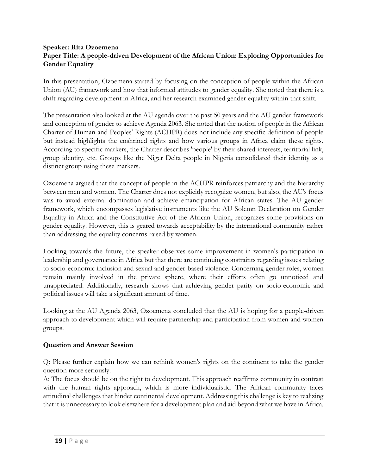#### **Speaker: Rita Ozoemena Paper Title: A people-driven Development of the African Union: Exploring Opportunities for Gender Equality**

In this presentation, Ozoemena started by focusing on the conception of people within the African Union (AU) framework and how that informed attitudes to gender equality. She noted that there is a shift regarding development in Africa, and her research examined gender equality within that shift.

The presentation also looked at the AU agenda over the past 50 years and the AU gender framework and conception of gender to achieve Agenda 2063. She noted that the notion of people in the African Charter of Human and Peoples' Rights (ACHPR) does not include any specific definition of people but instead highlights the enshrined rights and how various groups in Africa claim these rights. According to specific markers, the Charter describes 'people' by their shared interests, territorial link, group identity, etc. Groups like the Niger Delta people in Nigeria consolidated their identity as a distinct group using these markers.

Ozoemena argued that the concept of people in the ACHPR reinforces patriarchy and the hierarchy between men and women. The Charter does not explicitly recognize women, but also, the AU's focus was to avoid external domination and achieve emancipation for African states. The AU gender framework, which encompasses legislative instruments like the AU Solemn Declaration on Gender Equality in Africa and the Constitutive Act of the African Union, recognizes some provisions on gender equality. However, this is geared towards acceptability by the international community rather than addressing the equality concerns raised by women.

Looking towards the future, the speaker observes some improvement in women's participation in leadership and governance in Africa but that there are continuing constraints regarding issues relating to socio-economic inclusion and sexual and gender-based violence. Concerning gender roles, women remain mainly involved in the private sphere, where their efforts often go unnoticed and unappreciated. Additionally, research shows that achieving gender parity on socio-economic and political issues will take a significant amount of time.

Looking at the AU Agenda 2063, Ozoemena concluded that the AU is hoping for a people-driven approach to development which will require partnership and participation from women and women groups.

## **Question and Answer Session**

Q: Please further explain how we can rethink women's rights on the continent to take the gender question more seriously.

A: The focus should be on the right to development. This approach reaffirms community in contrast with the human rights approach, which is more individualistic. The African community faces attitudinal challenges that hinder continental development. Addressing this challenge is key to realizing that it is unnecessary to look elsewhere for a development plan and aid beyond what we have in Africa.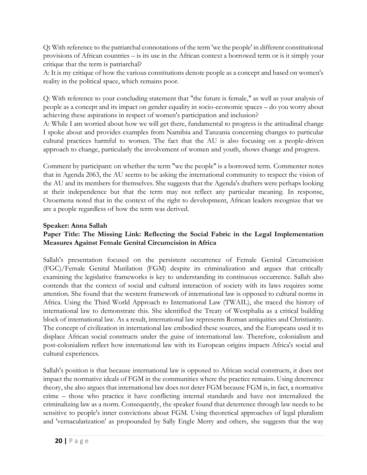Q**:** With reference to the patriarchal connotations of the term 'we the people' in different constitutional provisions of African countries – is its use in the African context a borrowed term or is it simply your critique that the term is patriarchal?

A: It is my critique of how the various constitutions denote people as a concept and based on women's reality in the political space, which remains poor.

Q: With reference to your concluding statement that "the future is female," as well as your analysis of people as a concept and its impact on gender equality in socio-economic spaces – do you worry about achieving these aspirations in respect of women's participation and inclusion?

A: While I am worried about how we will get there, fundamental to progress is the attitudinal change I spoke about and provides examples from Namibia and Tanzania concerning changes to particular cultural practices harmful to women. The fact that the AU is also focusing on a people-driven approach to change, particularly the involvement of women and youth, shows change and progress.

Comment by participant: on whether the term "we the people" is a borrowed term. Commenter notes that in Agenda 2063, the AU seems to be asking the international community to respect the vision of the AU and its members for themselves. She suggests that the Agenda's drafters were perhaps looking at their independence but that the term may not reflect any particular meaning. In response, Ozoemena noted that in the context of the right to development, African leaders recognize that we are a people regardless of how the term was derived.

#### **Speaker: Anna Sallah**

## **Paper Title: The Missing Link: Reflecting the Social Fabric in the Legal Implementation Measures Against Female Genital Circumcision in Africa**

Sallah's presentation focused on the persistent occurrence of Female Genital Circumcision (FGC)/Female Genital Mutilation (FGM) despite its criminalization and argues that critically examining the legislative frameworks is key to understanding its continuous occurrence. Sallah also contends that the context of social and cultural interaction of society with its laws requires some attention. She found that the western framework of international law is opposed to cultural norms in Africa. Using the Third World Approach to International Law (TWAIL), she traced the history of international law to demonstrate this. She identified the Treaty of Westphalia as a critical building block of international law. As a result, international law represents Roman antiquities and Christianity. The concept of civilization in international law embodied these sources, and the Europeans used it to displace African social constructs under the guise of international law. Therefore, colonialism and post-colonialism reflect how international law with its European origins impacts Africa's social and cultural experiences.

Sallah's position is that because international law is opposed to African social constructs, it does not impact the normative ideals of FGM in the communities where the practice remains. Using deterrence theory, she also argues that international law does not deter FGM because FGM is, in fact, a normative crime – those who practice it have conflicting internal standards and have not internalized the criminalizing law as a norm. Consequently, the speaker found that deterrence through law needs to be sensitive to people's inner convictions about FGM. Using theoretical approaches of legal pluralism and 'vernacularization' as propounded by Sally Engle Merry and others, she suggests that the way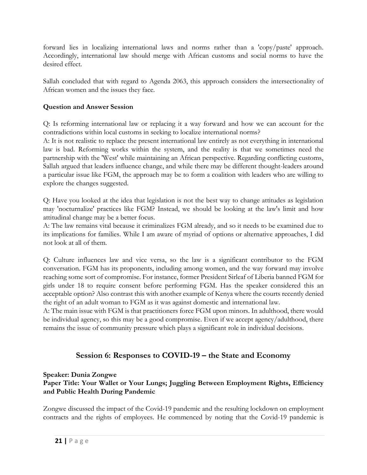forward lies in localizing international laws and norms rather than a 'copy/paste' approach. Accordingly, international law should merge with African customs and social norms to have the desired effect.

Sallah concluded that with regard to Agenda 2063, this approach considers the intersectionality of African women and the issues they face.

#### **Question and Answer Session**

Q: Is reforming international law or replacing it a way forward and how we can account for the contradictions within local customs in seeking to localize international norms?

A: It is not realistic to replace the present international law entirely as not everything in international law is bad. Reforming works within the system, and the reality is that we sometimes need the partnership with the 'West' while maintaining an African perspective. Regarding conflicting customs, Sallah argued that leaders influence change, and while there may be different thought-leaders around a particular issue like FGM, the approach may be to form a coalition with leaders who are willing to explore the changes suggested.

Q: Have you looked at the idea that legislation is not the best way to change attitudes as legislation may 'nocturnalize' practices like FGM? Instead, we should be looking at the law's limit and how attitudinal change may be a better focus.

A: The law remains vital because it criminalizes FGM already, and so it needs to be examined due to its implications for families. While I am aware of myriad of options or alternative approaches, I did not look at all of them.

Q: Culture influences law and vice versa, so the law is a significant contributor to the FGM conversation. FGM has its proponents, including among women, and the way forward may involve reaching some sort of compromise. For instance, former President Sirleaf of Liberia banned FGM for girls under 18 to require consent before performing FGM. Has the speaker considered this an acceptable option? Also contrast this with another example of Kenya where the courts recently denied the right of an adult woman to FGM as it was against domestic and international law.

A: The main issue with FGM is that practitioners force FGM upon minors. In adulthood, there would be individual agency, so this may be a good compromise. Even if we accept agency/adulthood, there remains the issue of community pressure which plays a significant role in individual decisions.

# **Session 6: Responses to COVID-19 – the State and Economy**

## **Speaker: Dunia Zongwe**

#### **Paper Title: Your Wallet or Your Lungs; Juggling Between Employment Rights, Efficiency and Public Health During Pandemic**

Zongwe discussed the impact of the Covid-19 pandemic and the resulting lockdown on employment contracts and the rights of employees. He commenced by noting that the Covid-19 pandemic is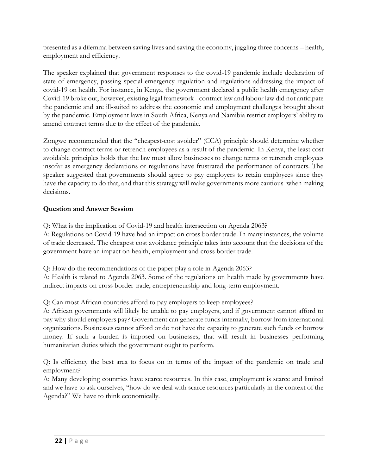presented as a dilemma between saving lives and saving the economy, juggling three concerns – health, employment and efficiency.

The speaker explained that government responses to the covid-19 pandemic include declaration of state of emergency, passing special emergency regulation and regulations addressing the impact of covid-19 on health. For instance, in Kenya, the government declared a public health emergency after Covid-19 broke out, however, existing legal framework - contract law and labour law did not anticipate the pandemic and are ill-suited to address the economic and employment challenges brought about by the pandemic. Employment laws in South Africa, Kenya and Namibia restrict employers' ability to amend contract terms due to the effect of the pandemic.

Zongwe recommended that the "cheapest-cost avoider" (CCA) principle should determine whether to change contract terms or retrench employees as a result of the pandemic. In Kenya, the least cost avoidable principles holds that the law must allow businesses to change terms or retrench employees insofar as emergency declarations or regulations have frustrated the performance of contracts. The speaker suggested that governments should agree to pay employers to retain employees since they have the capacity to do that, and that this strategy will make governments more cautious when making decisions.

## **Question and Answer Session**

Q: What is the implication of Covid-19 and health intersection on Agenda 2063?

A: Regulations on Covid-19 have had an impact on cross border trade. In many instances, the volume of trade decreased. The cheapest cost avoidance principle takes into account that the decisions of the government have an impact on health, employment and cross border trade.

Q: How do the recommendations of the paper play a role in Agenda 2063?

A: Health is related to Agenda 2063. Some of the regulations on health made by governments have indirect impacts on cross border trade, entrepreneurship and long-term employment.

Q: Can most African countries afford to pay employers to keep employees?

A: African governments will likely be unable to pay employers, and if government cannot afford to pay why should employers pay? Government can generate funds internally, borrow from international organizations. Businesses cannot afford or do not have the capacity to generate such funds or borrow money. If such a burden is imposed on businesses, that will result in businesses performing humanitarian duties which the government ought to perform.

Q: Is efficiency the best area to focus on in terms of the impact of the pandemic on trade and employment?

A: Many developing countries have scarce resources. In this case, employment is scarce and limited and we have to ask ourselves, "how do we deal with scarce resources particularly in the context of the Agenda?" We have to think economically.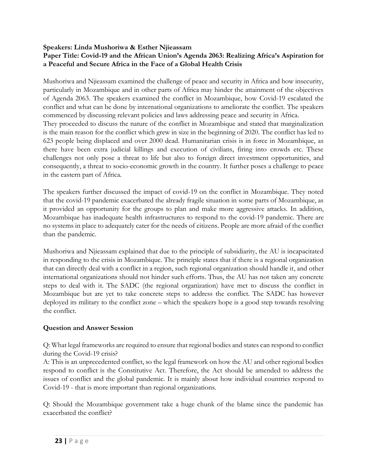#### **Speakers: Linda Mushoriwa & Esther Njieassam**

#### **Paper Title: Covid-19 and the African Union's Agenda 2063: Realizing Africa's Aspiration for a Peaceful and Secure Africa in the Face of a Global Health Crisis**

Mushoriwa and Njieassam examined the challenge of peace and security in Africa and how insecurity, particularly in Mozambique and in other parts of Africa may hinder the attainment of the objectives of Agenda 2063. The speakers examined the conflict in Mozambique, how Covid-19 escalated the conflict and what can be done by international organizations to ameliorate the conflict. The speakers commenced by discussing relevant policies and laws addressing peace and security in Africa. They proceeded to discuss the nature of the conflict in Mozambique and stated that marginalization is the main reason for the conflict which grew in size in the beginning of 2020. The conflict has led to 623 people being displaced and over 2000 dead. Humanitarian crisis is in force in Mozambique, as there have been extra judicial killings and execution of civilians, firing into crowds etc. These challenges not only pose a threat to life but also to foreign direct investment opportunities, and consequently, a threat to socio-economic growth in the country. It further poses a challenge to peace in the eastern part of Africa.

The speakers further discussed the impact of covid-19 on the conflict in Mozambique. They noted that the covid-19 pandemic exacerbated the already fragile situation in some parts of Mozambique, as it provided an opportunity for the groups to plan and make more aggressive attacks. In addition, Mozambique has inadequate health infrastructures to respond to the covid-19 pandemic. There are no systems in place to adequately cater for the needs of citizens. People are more afraid of the conflict than the pandemic.

Mushoriwa and Njieassam explained that due to the principle of subsidiarity, the AU is incapacitated in responding to the crisis in Mozambique. The principle states that if there is a regional organization that can directly deal with a conflict in a region, such regional organization should handle it, and other international organizations should not hinder such efforts. Thus, the AU has not taken any concrete steps to deal with it. The SADC (the regional organization) have met to discuss the conflict in Mozambique but are yet to take concrete steps to address the conflict. The SADC has however deployed its military to the conflict zone – which the speakers hope is a good step towards resolving the conflict.

#### **Question and Answer Session**

Q: What legal frameworks are required to ensure that regional bodies and states can respond to conflict during the Covid-19 crisis?

A: This is an unprecedented conflict, so the legal framework on how the AU and other regional bodies respond to conflict is the Constitutive Act. Therefore, the Act should be amended to address the issues of conflict and the global pandemic. It is mainly about how individual countries respond to Covid-19 - that is more important than regional organizations.

Q: Should the Mozambique government take a huge chunk of the blame since the pandemic has exacerbated the conflict?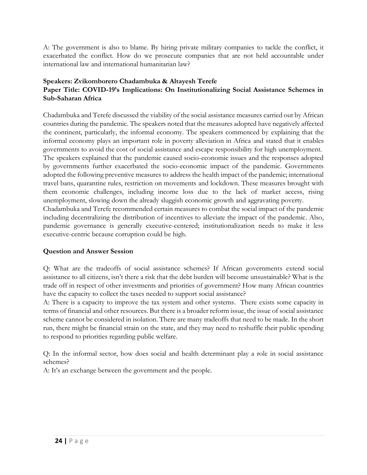A: The government is also to blame. By hiring private military companies to tackle the conflict, it exacerbated the conflict. How do we prosecute companies that are not held accountable under international law and international humanitarian law?

#### **Speakers: Zvikomborero Chadambuka & Altayesh Terefe Paper Title: COVID-19's Implications: On Institutionalizing Social Assistance Schemes in Sub-Saharan Africa**

Chadambuka and Terefe discussed the viability of the social assistance measures carried out by African countries during the pandemic. The speakers noted that the measures adopted have negatively affected the continent, particularly, the informal economy. The speakers commenced by explaining that the informal economy plays an important role in poverty alleviation in Africa and stated that it enables governments to avoid the cost of social assistance and escape responsibility for high unemployment. The speakers explained that the pandemic caused socio-economic issues and the responses adopted by governments further exacerbated the socio-economic impact of the pandemic. Governments adopted the following preventive measures to address the health impact of the pandemic; international travel bans, quarantine rules, restriction on movements and lockdown. These measures brought with them economic challenges, including income loss due to the lack of market access, rising unemployment, slowing down the already sluggish economic growth and aggravating poverty. Chadambuka and Terefe recommended certain measures to combat the social impact of the pandemic including decentralizing the distribution of incentives to alleviate the impact of the pandemic. Also, pandemic governance is generally executive-centered; institutionalization needs to make it less

#### **Question and Answer Session**

executive-centric because corruption could be high.

Q: What are the tradeoffs of social assistance schemes? If African governments extend social assistance to all citizens, isn't there a risk that the debt burden will become unsustainable? What is the trade off in respect of other investments and priorities of government? How many African countries have the capacity to collect the taxes needed to support social assistance?

A: There is a capacity to improve the tax system and other systems. There exists some capacity in terms of financial and other resources. But there is a broader reform issue, the issue of social assistance scheme cannot be considered in isolation. There are many tradeoffs that need to be made. In the short run, there might be financial strain on the state, and they may need to reshuffle their public spending to respond to priorities regarding public welfare.

Q: In the informal sector, how does social and health determinant play a role in social assistance schemes?

A: It's an exchange between the government and the people.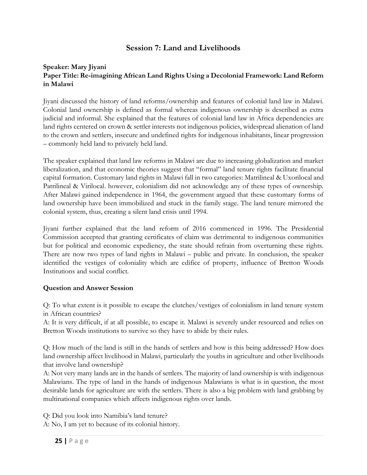# **Session 7: Land and Livelihoods**

#### **Speaker: Mary Jiyani Paper Title: Re-imagining African Land Rights Using a Decolonial Framework: Land Reform in Malawi**

Jiyani discussed the history of land reforms/ownership and features of colonial land law in Malawi. Colonial land ownership is defined as formal whereas indigenous ownership is described as extra judicial and informal. She explained that the features of colonial land law in Africa dependencies are land rights centered on crown & settler interests not indigenous policies, widespread alienation of land to the crown and settlers, insecure and undefined rights for indigenous inhabitants, linear progression – commonly held land to privately held land.

The speaker explained that land law reforms in Malawi are due to increasing globalization and market liberalization, and that economic theories suggest that "formal" land tenure rights facilitate financial capital formation. Customary land rights in Malawi fall in two categories: Matrilineal & Uxorilocal and Patrilineal & Virilocal. however, colonialism did not acknowledge any of these types of ownership. After Malawi gained independence in 1964, the government argued that these customary forms of land ownership have been immobilized and stuck in the family stage. The land tenure mirrored the colonial system, thus, creating a silent land crisis until 1994.

Jiyani further explained that the land reform of 2016 commenced in 1996. The Presidential Commission accepted that granting certificates of claim was detrimental to indigenous communities but for political and economic expediency, the state should refrain from overturning these rights. There are now two types of land rights in Malawi – public and private. In conclusion, the speaker identified the vestiges of coloniality which are edifice of property, influence of Bretton Woods Institutions and social conflict.

## **Question and Answer Session**

Q: To what extent is it possible to escape the clutches/vestiges of colonialism in land tenure system in African countries?

A: It is very difficult, if at all possible, to escape it. Malawi is severely under resourced and relies on Bretton Woods institutions to survive so they have to abide by their rules.

Q: How much of the land is still in the hands of settlers and how is this being addressed? How does land ownership affect livelihood in Malawi, particularly the youths in agriculture and other livelihoods that involve land ownership?

A: Not very many lands are in the hands of settlers. The majority of land ownership is with indigenous Malawians. The type of land in the hands of indigenous Malawians is what is in question, the most desirable lands for agriculture are with the settlers. There is also a big problem with land grabbing by multinational companies which affects indigenous rights over lands.

Q: Did you look into Namibia's land tenure?

A: No, I am yet to because of its colonial history.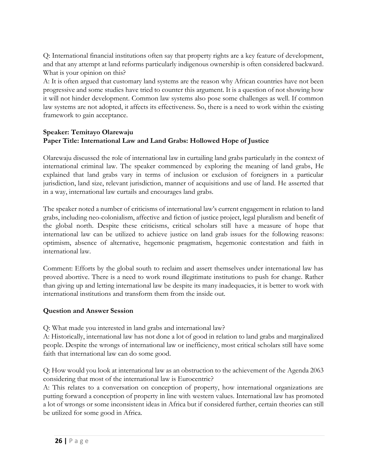Q: International financial institutions often say that property rights are a key feature of development, and that any attempt at land reforms particularly indigenous ownership is often considered backward. What is your opinion on this?

A: It is often argued that customary land systems are the reason why African countries have not been progressive and some studies have tried to counter this argument. It is a question of not showing how it will not hinder development. Common law systems also pose some challenges as well. If common law systems are not adopted, it affects its effectiveness. So, there is a need to work within the existing framework to gain acceptance.

#### **Speaker: Temitayo Olarewaju Paper Title: International Law and Land Grabs: Hollowed Hope of Justice**

Olarewaju discussed the role of international law in curtailing land grabs particularly in the context of international criminal law. The speaker commenced by exploring the meaning of land grabs, He explained that land grabs vary in terms of inclusion or exclusion of foreigners in a particular jurisdiction, land size, relevant jurisdiction, manner of acquisitions and use of land. He asserted that in a way, international law curtails and encourages land grabs.

The speaker noted a number of criticisms of international law's current engagement in relation to land grabs, including neo-colonialism, affective and fiction of justice project, legal pluralism and benefit of the global north. Despite these criticisms, critical scholars still have a measure of hope that international law can be utilized to achieve justice on land grab issues for the following reasons: optimism, absence of alternative, hegemonic pragmatism, hegemonic contestation and faith in international law.

Comment: Efforts by the global south to reclaim and assert themselves under international law has proved abortive. There is a need to work round illegitimate institutions to push for change. Rather than giving up and letting international law be despite its many inadequacies, it is better to work with international institutions and transform them from the inside out.

#### **Question and Answer Session**

Q: What made you interested in land grabs and international law?

A: Historically, international law has not done a lot of good in relation to land grabs and marginalized people. Despite the wrongs of international law or inefficiency, most critical scholars still have some faith that international law can do some good.

Q: How would you look at international law as an obstruction to the achievement of the Agenda 2063 considering that most of the international law is Eurocentric?

A: This relates to a conversation on conception of property, how international organizations are putting forward a conception of property in line with western values. International law has promoted a lot of wrongs or some inconsistent ideas in Africa but if considered further, certain theories can still be utilized for some good in Africa.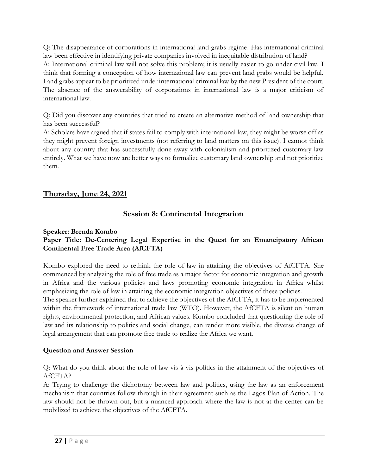Q: The disappearance of corporations in international land grabs regime. Has international criminal law been effective in identifying private companies involved in inequitable distribution of land? A: International criminal law will not solve this problem; it is usually easier to go under civil law. I think that forming a conception of how international law can prevent land grabs would be helpful. Land grabs appear to be prioritized under international criminal law by the new President of the court. The absence of the answerability of corporations in international law is a major criticism of international law.

Q: Did you discover any countries that tried to create an alternative method of land ownership that has been successful?

A: Scholars have argued that if states fail to comply with international law, they might be worse off as they might prevent foreign investments (not referring to land matters on this issue). I cannot think about any country that has successfully done away with colonialism and prioritized customary law entirely. What we have now are better ways to formalize customary land ownership and not prioritize them.

# **Thursday, June 24, 2021**

# **Session 8: Continental Integration**

#### **Speaker: Brenda Kombo**

#### **Paper Title: De-Centering Legal Expertise in the Quest for an Emancipatory African Continental Free Trade Area (AfCFTA)**

Kombo explored the need to rethink the role of law in attaining the objectives of AfCFTA. She commenced by analyzing the role of free trade as a major factor for economic integration and growth in Africa and the various policies and laws promoting economic integration in Africa whilst emphasizing the role of law in attaining the economic integration objectives of these policies.

The speaker further explained that to achieve the objectives of the AfCFTA, it has to be implemented within the framework of international trade law (WTO). However, the AfCFTA is silent on human rights, environmental protection, and African values. Kombo concluded that questioning the role of law and its relationship to politics and social change, can render more visible, the diverse change of legal arrangement that can promote free trade to realize the Africa we want.

#### **Question and Answer Session**

Q: What do you think about the role of law vis-à-vis politics in the attainment of the objectives of AfCFTA?

A: Trying to challenge the dichotomy between law and politics, using the law as an enforcement mechanism that countries follow through in their agreement such as the Lagos Plan of Action. The law should not be thrown out, but a nuanced approach where the law is not at the center can be mobilized to achieve the objectives of the AfCFTA.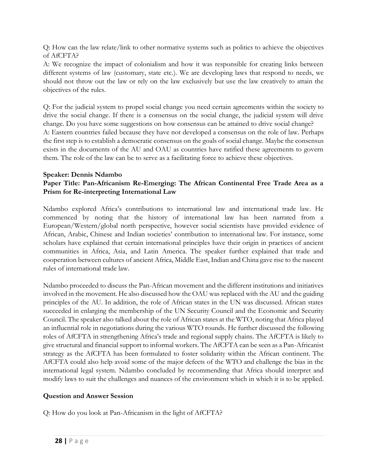Q: How can the law relate/link to other normative systems such as politics to achieve the objectives of AfCFTA?

A: We recognize the impact of colonialism and how it was responsible for creating links between different systems of law (customary, state etc.). We are developing laws that respond to needs, we should not throw out the law or rely on the law exclusively but use the law creatively to attain the objectives of the rules.

Q: For the judicial system to propel social change you need certain agreements within the society to drive the social change. If there is a consensus on the social change, the judicial system will drive change. Do you have some suggestions on how consensus can be attained to drive social change? A: Eastern countries failed because they have not developed a consensus on the role of law. Perhaps the first step is to establish a democratic consensus on the goals of social change. Maybe the consensus exists in the documents of the AU and OAU as countries have ratified these agreements to govern them. The role of the law can be to serve as a facilitating force to achieve these objectives.

#### **Speaker: Dennis Ndambo**

#### **Paper Title: Pan-Africanism Re-Emerging: The African Continental Free Trade Area as a Prism for Re-interpreting International Law**

Ndambo explored Africa's contributions to international law and international trade law. He commenced by noting that the history of international law has been narrated from a European/Western/global north perspective, however social scientists have provided evidence of African, Arabic, Chinese and Indian societies' contribution to international law. For instance, some scholars have explained that certain international principles have their origin in practices of ancient communities in Africa, Asia, and Latin America. The speaker further explained that trade and cooperation between cultures of ancient Africa, Middle East, Indian and China gave rise to the nascent rules of international trade law.

Ndambo proceeded to discuss the Pan-African movement and the different institutions and initiatives involved in the movement. He also discussed how the OAU was replaced with the AU and the guiding principles of the AU. In addition, the role of African states in the UN was discussed. African states succeeded in enlarging the membership of the UN Security Council and the Economic and Security Council. The speaker also talked about the role of African states at the WTO, noting that Africa played an influential role in negotiations during the various WTO rounds. He further discussed the following roles of AfCFTA in strengthening Africa's trade and regional supply chains. The AfCFTA is likely to give structural and financial support to informal workers. The AfCFTA can be seen as a Pan-Africanist strategy as the AfCFTA has been formulated to foster solidarity within the African continent. The AfCFTA could also help avoid some of the major defects of the WTO and challenge the bias in the international legal system. Ndambo concluded by recommending that Africa should interpret and modify laws to suit the challenges and nuances of the environment which in which it is to be applied.

## **Question and Answer Session**

Q: How do you look at Pan-Africanism in the light of AfCFTA?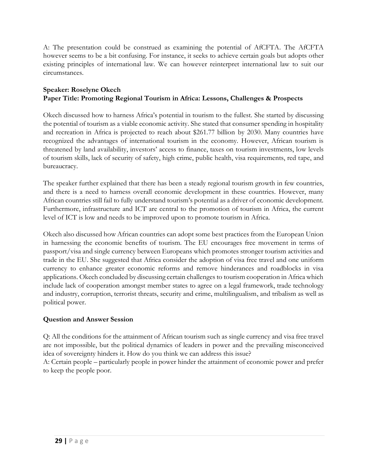A: The presentation could be construed as examining the potential of AfCFTA. The AfCFTA however seems to be a bit confusing. For instance, it seeks to achieve certain goals but adopts other existing principles of international law. We can however reinterpret international law to suit our circumstances.

#### **Speaker: Roselyne Okech Paper Title: Promoting Regional Tourism in Africa: Lessons, Challenges & Prospects**

Okech discussed how to harness Africa's potential in tourism to the fullest. She started by discussing the potential of tourism as a viable economic activity. She stated that consumer spending in hospitality and recreation in Africa is projected to reach about \$261.77 billion by 2030. Many countries have recognized the advantages of international tourism in the economy. However, African tourism is threatened by land availability, investors' access to finance, taxes on tourism investments, low levels of tourism skills, lack of security of safety, high crime, public health, visa requirements, red tape, and bureaucracy.

The speaker further explained that there has been a steady regional tourism growth in few countries, and there is a need to harness overall economic development in these countries. However, many African countries still fail to fully understand tourism's potential as a driver of economic development. Furthermore, infrastructure and ICT are central to the promotion of tourism in Africa, the current level of ICT is low and needs to be improved upon to promote tourism in Africa.

Okech also discussed how African countries can adopt some best practices from the European Union in harnessing the economic benefits of tourism. The EU encourages free movement in terms of passport/visa and single currency between Europeans which promotes stronger tourism activities and trade in the EU. She suggested that Africa consider the adoption of visa free travel and one uniform currency to enhance greater economic reforms and remove hinderances and roadblocks in visa applications. Okech concluded by discussing certain challenges to tourism cooperation in Africa which include lack of cooperation amongst member states to agree on a legal framework, trade technology and industry, corruption, terrorist threats, security and crime, multilingualism, and tribalism as well as political power.

#### **Question and Answer Session**

Q: All the conditions for the attainment of African tourism such as single currency and visa free travel are not impossible, but the political dynamics of leaders in power and the prevailing misconceived idea of sovereignty hinders it. How do you think we can address this issue?

A: Certain people – particularly people in power hinder the attainment of economic power and prefer to keep the people poor.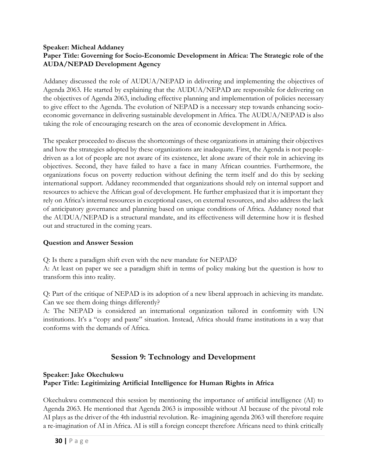#### **Speaker: Micheal Addaney Paper Title: Governing for Socio-Economic Development in Africa: The Strategic role of the AUDA/NEPAD Development Agency**

Addaney discussed the role of AUDUA/NEPAD in delivering and implementing the objectives of Agenda 2063. He started by explaining that the AUDUA/NEPAD are responsible for delivering on the objectives of Agenda 2063, including effective planning and implementation of policies necessary to give effect to the Agenda. The evolution of NEPAD is a necessary step towards enhancing socioeconomic governance in delivering sustainable development in Africa. The AUDUA/NEPAD is also taking the role of encouraging research on the area of economic development in Africa.

The speaker proceeded to discuss the shortcomings of these organizations in attaining their objectives and how the strategies adopted by these organizations are inadequate. First, the Agenda is not peopledriven as a lot of people are not aware of its existence, let alone aware of their role in achieving its objectives. Second, they have failed to have a face in many African countries. Furthermore, the organizations focus on poverty reduction without defining the term itself and do this by seeking international support. Addaney recommended that organizations should rely on internal support and resources to achieve the African goal of development. He further emphasized that it is important they rely on Africa's internal resources in exceptional cases, on external resources, and also address the lack of anticipatory governance and planning based on unique conditions of Africa. Addaney noted that the AUDUA/NEPAD is a structural mandate, and its effectiveness will determine how it is fleshed out and structured in the coming years.

## **Question and Answer Session**

Q: Is there a paradigm shift even with the new mandate for NEPAD?

A: At least on paper we see a paradigm shift in terms of policy making but the question is how to transform this into reality.

Q: Part of the critique of NEPAD is its adoption of a new liberal approach in achieving its mandate. Can we see them doing things differently?

A: The NEPAD is considered an international organization tailored in conformity with UN institutions. It's a "copy and paste" situation. Instead, Africa should frame institutions in a way that conforms with the demands of Africa.

# **Session 9: Technology and Development**

#### **Speaker: Jake Okechukwu Paper Title: Legitimizing Artificial Intelligence for Human Rights in Africa**

Okechukwu commenced this session by mentioning the importance of artificial intelligence (AI) to Agenda 2063. He mentioned that Agenda 2063 is impossible without AI because of the pivotal role AI plays as the driver of the 4th industrial revolution. Re- imagining agenda 2063 will therefore require a re-imagination of AI in Africa. AI is still a foreign concept therefore Africans need to think critically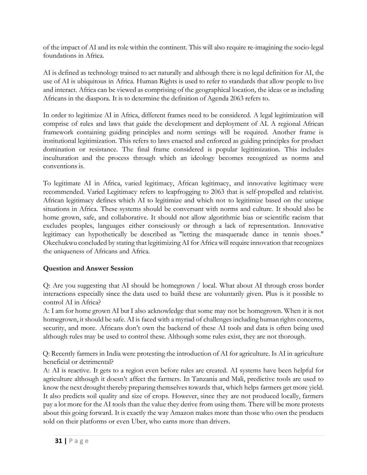of the impact of AI and its role within the continent. This will also require re-imagining the socio-legal foundations in Africa.

AI is defined as technology trained to act naturally and although there is no legal definition for AI, the use of AI is ubiquitous in Africa. Human Rights is used to refer to standards that allow people to live and interact. Africa can be viewed as comprising of the geographical location, the ideas or as including Africans in the diaspora. It is to determine the definition of Agenda 2063 refers to.

In order to legitimize AI in Africa, different frames need to be considered. A legal legitimization will comprise of rules and laws that guide the development and deployment of AI. A regional African framework containing guiding principles and norm settings will be required. Another frame is institutional legitimization. This refers to laws enacted and enforced as guiding principles for product domination or resistance. The final frame considered is popular legitimization. This includes inculturation and the process through which an ideology becomes recognized as norms and conventions is.

To legitimate AI in Africa, varied legitimacy, African legitimacy, and innovative legitimacy were recommended. Varied Legitimacy refers to leapfrogging to 2063 that is self-propelled and relativist. African legitimacy defines which AI to legitimize and which not to legitimize based on the unique situations in Africa. These systems should be conversant with norms and culture. It should also be home grown, safe, and collaborative. It should not allow algorithmic bias or scientific racism that excludes peoples, languages either consciously or through a lack of representation. Innovative legitimacy can hypothetically be described as "letting the masquerade dance in tennis shoes." Okechukwu concluded by stating that legitimizing AI for Africa will require innovation that recognizes the uniqueness of Africans and Africa.

## **Question and Answer Session**

Q: Are you suggesting that AI should be homegrown / local. What about AI through cross border interactions especially since the data used to build these are voluntarily given. Plus is it possible to control AI in Africa?

A: I am for home grown AI but I also acknowledge that some may not be homegrown. When it is not homegrown, it should be safe. AI is faced with a myriad of challenges including human rights concerns, security, and more. Africans don't own the backend of these AI tools and data is often being used although rules may be used to control these. Although some rules exist, they are not thorough.

Q: Recently farmers in India were protesting the introduction of AI for agriculture. Is AI in agriculture beneficial or detrimental?

A: AI is reactive. It gets to a region even before rules are created. AI systems have been helpful for agriculture although it doesn't affect the farmers. In Tanzania and Mali, predictive tools are used to know the next drought thereby preparing themselves towards that, which helps farmers get more yield. It also predicts soil quality and size of crops. However, since they are not produced locally, farmers pay a lot more for the AI tools than the value they derive from using them. There will be more protests about this going forward. It is exactly the way Amazon makes more than those who own the products sold on their platforms or even Uber, who earns more than drivers.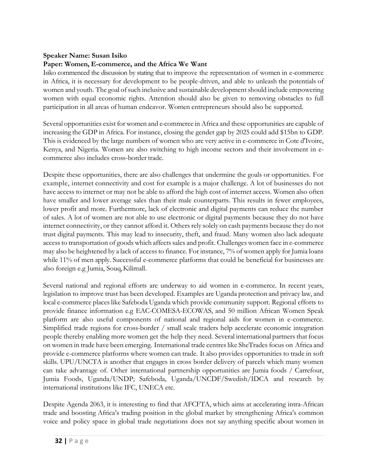#### **Speaker Name: Susan Isiko**

#### **Paper: Women, E-commerce, and the Africa We Want**

Isiko commenced the discussion by stating that to improve the representation of women in e-commerce in Africa, it is necessary for development to be people-driven, and able to unleash the potentials of women and youth. The goal of such inclusive and sustainable development should include empowering women with equal economic rights. Attention should also be given to removing obstacles to full participation in all areas of human endeavor. Women entrepreneurs should also be supported.

Several opportunities exist for women and e-commerce in Africa and these opportunities are capable of increasing the GDP in Africa. For instance, closing the gender gap by 2025 could add \$15bn to GDP. This is evidenced by the large numbers of women who are very active in e-commerce in Cote d'Ivoire, Kenya, and Nigeria. Women are also switching to high income sectors and their involvement in ecommerce also includes cross-border trade.

Despite these opportunities, there are also challenges that undermine the goals or opportunities. For example, internet connectivity and cost for example is a major challenge. A lot of businesses do not have access to internet or may not be able to afford the high cost of internet access. Women also often have smaller and lower average sales than their male counterparts. This results in fewer employees, lower profit and more. Furthermore, lack of electronic and digital payments can reduce the number of sales. A lot of women are not able to use electronic or digital payments because they do not have internet connectivity, or they cannot afford it. Others rely solely on cash payments because they do not trust digital payments. This may lead to insecurity, theft, and fraud. Many women also lack adequate accessto transportation of goods which affects sales and profit. Challenges women face in e-commerce may also be heightened by a lack of access to finance. For instance, 7% of women apply for Jumia loans while 11% of men apply. Successful e-commerce platforms that could be beneficial for businesses are also foreign e.g Jumia, Souq,Kilimall.

Several national and regional efforts are underway to aid women in e-commerce. In recent years, legislation to improve trust has been developed. Examples are Uganda protection and privacy law, and local e-commerce places like Safeboda Uganda which provide community support. Regional efforts to provide finance information e.g EAC-COMESA-ECOWAS, and 50 million African Women Speak platform are also useful components of national and regional aids for women in e-commerce. Simplified trade regions for cross-border / small scale traders help accelerate economic integration people thereby enabling more women get the help they need. Several international partners that focus on women in trade have been emerging. International trade centres like SheTrades focus on Africa and provide e-commerce platforms where women can trade. It also provides opportunities to trade in soft skills. UPU/UNCTA is another that engages in cross border delivery of parcels which many women can take advantage of. Other international partnership opportunities are Jumia foods / Carrefour, Jumia Foods, Uganda/UNDP; Safeboda, Uganda/UNCDF/Swedish/IDCA and research by international institutions like IFC, UNECA etc.

Despite Agenda 2063, it is interesting to find that AFCFTA, which aims at accelerating intra-African trade and boosting Africa's trading position in the global market by strengthening Africa's common voice and policy space in global trade negotiations does not say anything specific about women in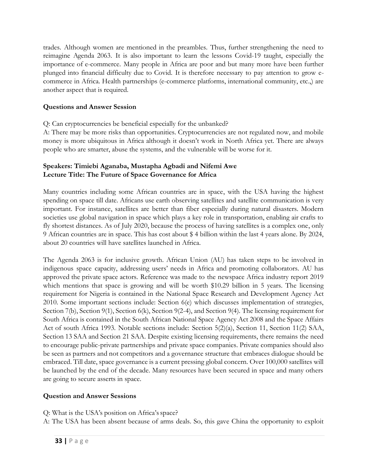trades. Although women are mentioned in the preambles. Thus, further strengthening the need to reimagine Agenda 2063. It is also important to learn the lessons Covid-19 taught, especially the importance of e-commerce. Many people in Africa are poor and but many more have been further plunged into financial difficulty due to Covid. It is therefore necessary to pay attention to grow ecommerce in Africa. Health partnerships (e-commerce platforms, international community, etc.,) are another aspect that is required.

#### **Questions and Answer Session**

Q: Can cryptocurrencies be beneficial especially for the unbanked?

A: There may be more risks than opportunities. Cryptocurrencies are not regulated now, and mobile money is more ubiquitous in Africa although it doesn't work in North Africa yet. There are always people who are smarter, abuse the systems, and the vulnerable will be worse for it.

#### **Speakers: Timiebi Aganaba, Mustapha Agbadi and Nifemi Awe Lecture Title: The Future of Space Governance for Africa**

Many countries including some African countries are in space, with the USA having the highest spending on space till date. Africans use earth observing satellites and satellite communication is very important. For instance, satellites are better than fiber especially during natural disasters. Modern societies use global navigation in space which plays a key role in transportation, enabling air crafts to fly shortest distances. As of July 2020, because the process of having satellites is a complex one, only 9 African countries are in space. This has cost about \$ 4 billion within the last 4 years alone. By 2024, about 20 countries will have satellites launched in Africa.

The Agenda 2063 is for inclusive growth. African Union (AU) has taken steps to be involved in indigenous space capacity, addressing users' needs in Africa and promoting collaborators. AU has approved the private space actors. Reference was made to the newspace Africa industry report 2019 which mentions that space is growing and will be worth \$10.29 billion in 5 years. The licensing requirement for Nigeria is contained in the National Space Research and Development Agency Act 2010. Some important sections include: Section 6(e) which discusses implementation of strategies, Section 7(b), Section 9(1), Section 6(k), Section 9(2-4), and Section 9(4). The licensing requirement for South Africa is contained in the South African National Space Agency Act 2008 and the Space Affairs Act of south Africa 1993. Notable sections include: Section 5(2)(a), Section 11, Section 11(2) SAA, Section 13 SAA and Section 21 SAA. Despite existing licensing requirements, there remains the need to encourage public-private partnerships and private space companies. Private companies should also be seen as partners and not competitors and a governance structure that embraces dialogue should be embraced. Till date, space governance is a current pressing global concern. Over 100,000 satellites will be launched by the end of the decade. Many resources have been secured in space and many others are going to secure asserts in space.

## **Question and Answer Sessions**

Q: What is the USA's position on Africa's space?

A: The USA has been absent because of arms deals. So, this gave China the opportunity to exploit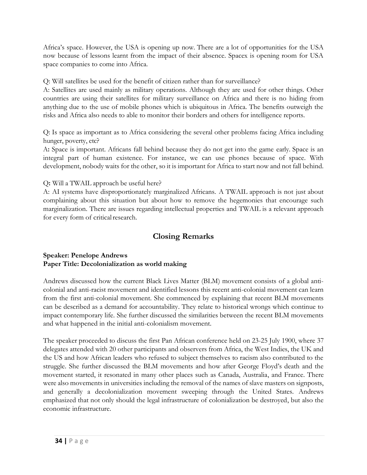Africa's space. However, the USA is opening up now. There are a lot of opportunities for the USA now because of lessons learnt from the impact of their absence. Spacex is opening room for USA space companies to come into Africa.

Q: Will satellites be used for the benefit of citizen rather than for surveillance?

A: Satellites are used mainly as military operations. Although they are used for other things. Other countries are using their satellites for military surveillance on Africa and there is no hiding from anything due to the use of mobile phones which is ubiquitous in Africa. The benefits outweigh the risks and Africa also needs to able to monitor their borders and others for intelligence reports.

Q: Is space as important as to Africa considering the several other problems facing Africa including hunger, poverty, etc?

A**:** Space is important. Africans fall behind because they do not get into the game early. Space is an integral part of human existence. For instance, we can use phones because of space. With development, nobody waits for the other, so it is important for Africa to start now and not fall behind.

Q**:** Will a TWAIL approach be useful here?

A: AI systems have disproportionately marginalized Africans. A TWAIL approach is not just about complaining about this situation but about how to remove the hegemonies that encourage such marginalization. There are issues regarding intellectual properties and TWAIL is a relevant approach for every form of critical research.

# **Closing Remarks**

#### **Speaker: Penelope Andrews Paper Title: Decolonialization as world making**

Andrews discussed how the current Black Lives Matter (BLM) movement consists of a global anticolonial and anti-racist movement and identified lessons this recent anti-colonial movement can learn from the first anti-colonial movement. She commenced by explaining that recent BLM movements can be described as a demand for accountability. They relate to historical wrongs which continue to impact contemporary life. She further discussed the similarities between the recent BLM movements and what happened in the initial anti-colonialism movement.

The speaker proceeded to discuss the first Pan African conference held on 23-25 July 1900, where 37 delegates attended with 20 other participants and observers from Africa, the West Indies, the UK and the US and how African leaders who refused to subject themselves to racism also contributed to the struggle. She further discussed the BLM movements and how after George Floyd's death and the movement started, it resonated in many other places such as Canada, Australia, and France. There were also movements in universities including the removal of the names of slave masters on signposts, and generally a decolonialization movement sweeping through the United States. Andrews emphasized that not only should the legal infrastructure of colonialization be destroyed, but also the economic infrastructure.